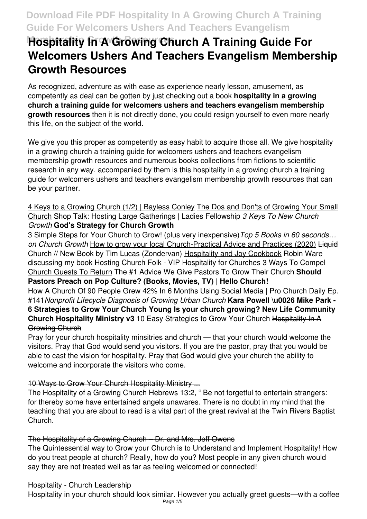# **Hospitality In A Growing Church A Training Guide For Welcomers Ushers And Teachers Evangelism Membership Growth Resources**

As recognized, adventure as with ease as experience nearly lesson, amusement, as competently as deal can be gotten by just checking out a book **hospitality in a growing church a training guide for welcomers ushers and teachers evangelism membership growth resources** then it is not directly done, you could resign yourself to even more nearly this life, on the subject of the world.

We give you this proper as competently as easy habit to acquire those all. We give hospitality in a growing church a training guide for welcomers ushers and teachers evangelism membership growth resources and numerous books collections from fictions to scientific research in any way. accompanied by them is this hospitality in a growing church a training guide for welcomers ushers and teachers evangelism membership growth resources that can be your partner.

4 Keys to a Growing Church (1/2) | Bayless Conley The Dos and Don'ts of Growing Your Small Church Shop Talk: Hosting Large Gatherings | Ladies Fellowship *3 Keys To New Church Growth* **God's Strategy for Church Growth**

3 Simple Steps for Your Church to Grow! (plus very inexpensive)*Top 5 Books in 60 seconds… on Church Growth* How to grow your local Church-Practical Advice and Practices (2020) Liquid Church // New Book by Tim Lucas (Zondervan) Hospitality and Joy Cookbook Robin Ware discussing my book Hosting Church Folk - VIP Hospitality for Churches 3 Ways To Compel Church Guests To Return The #1 Advice We Give Pastors To Grow Their Church **Should Pastors Preach on Pop Culture? (Books, Movies, TV) | Hello Church!**

How A Church Of 90 People Grew 42% In 6 Months Using Social Media | Pro Church Daily Ep. #141*Nonprofit Lifecycle Diagnosis of Growing Urban Church* **Kara Powell \u0026 Mike Park - 6 Strategies to Grow Your Church Young Is your church growing? New Life Community Church Hospitality Ministry v3 10 Easy Strategies to Grow Your Church Hospitality In A** Growing Church

Pray for your church hospitality minsitries and church — that your church would welcome the visitors. Pray that God would send you visitors. If you are the pastor, pray that you would be able to cast the vision for hospitality. Pray that God would give your church the ability to welcome and incorporate the visitors who come.

# 10 Ways to Grow Your Church Hospitality Ministry ...

The Hospitality of a Growing Church Hebrews 13:2, " Be not forgetful to entertain strangers: for thereby some have entertained angels unawares. There is no doubt in my mind that the teaching that you are about to read is a vital part of the great revival at the Twin Rivers Baptist Church.

#### The Hospitality of a Growing Church – Dr. and Mrs. Jeff Owens

The Quintessential way to Grow your Church is to Understand and Implement Hospitality! How do you treat people at church? Really, how do you? Most people in any given church would say they are not treated well as far as feeling welcomed or connected!

#### Hospitality - Church Leadership

Hospitality in your church should look similar. However you actually greet guests—with a coffee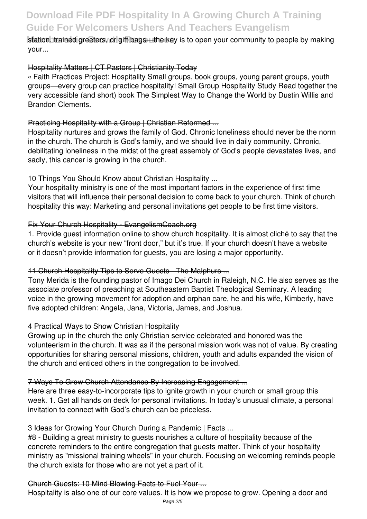### station, trained greeters, or gift bags—the key is to open your community to people by making your...

### Hospitality Matters | CT Pastors | Christianity Today

« Faith Practices Project: Hospitality Small groups, book groups, young parent groups, youth groups—every group can practice hospitality! Small Group Hospitality Study Read together the very accessible (and short) book The Simplest Way to Change the World by Dustin Willis and Brandon Clements.

### Practicing Hospitality with a Group | Christian Reformed ...

Hospitality nurtures and grows the family of God. Chronic loneliness should never be the norm in the church. The church is God's family, and we should live in daily community. Chronic, debilitating loneliness in the midst of the great assembly of God's people devastates lives, and sadly, this cancer is growing in the church.

### 10 Things You Should Know about Christian Hospitality ...

Your hospitality ministry is one of the most important factors in the experience of first time visitors that will influence their personal decision to come back to your church. Think of church hospitality this way: Marketing and personal invitations get people to be first time visitors.

### Fix Your Church Hospitality - EvangelismCoach.org

1. Provide guest information online to show church hospitality. It is almost cliché to say that the church's website is your new "front door," but it's true. If your church doesn't have a website or it doesn't provide information for guests, you are losing a major opportunity.

# 11 Church Hospitality Tips to Serve Guests - The Malphurs ...

Tony Merida is the founding pastor of Imago Dei Church in Raleigh, N.C. He also serves as the associate professor of preaching at Southeastern Baptist Theological Seminary. A leading voice in the growing movement for adoption and orphan care, he and his wife, Kimberly, have five adopted children: Angela, Jana, Victoria, James, and Joshua.

# 4 Practical Ways to Show Christian Hospitality

Growing up in the church the only Christian service celebrated and honored was the volunteerism in the church. It was as if the personal mission work was not of value. By creating opportunities for sharing personal missions, children, youth and adults expanded the vision of the church and enticed others in the congregation to be involved.

#### 7 Ways To Grow Church Attendance By Increasing Engagement ...

Here are three easy-to-incorporate tips to ignite growth in your church or small group this week. 1. Get all hands on deck for personal invitations. In today's unusual climate, a personal invitation to connect with God's church can be priceless.

#### 3 Ideas for Growing Your Church During a Pandemic | Facts ...

#8 - Building a great ministry to guests nourishes a culture of hospitality because of the concrete reminders to the entire congregation that guests matter. Think of your hospitality ministry as "missional training wheels" in your church. Focusing on welcoming reminds people the church exists for those who are not yet a part of it.

#### Church Guests: 10 Mind Blowing Facts to Fuel Your ...

Hospitality is also one of our core values. It is how we propose to grow. Opening a door and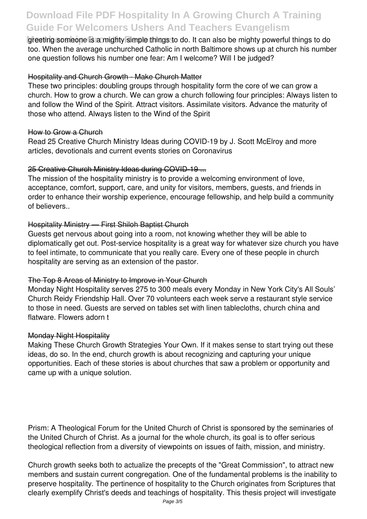greeting someone is a mighty simple things to do. It can also be mighty powerful things to do. too. When the average unchurched Catholic in north Baltimore shows up at church his number one question follows his number one fear: Am I welcome? Will I be judged?

#### Hospitality and Church Growth - Make Church Matter

These two principles: doubling groups through hospitality form the core of we can grow a church. How to grow a church. We can grow a church following four principles: Always listen to and follow the Wind of the Spirit. Attract visitors. Assimilate visitors. Advance the maturity of those who attend. Always listen to the Wind of the Spirit

#### How to Grow a Church

Read 25 Creative Church Ministry Ideas during COVID-19 by J. Scott McElroy and more articles, devotionals and current events stories on Coronavirus

#### 25 Creative Church Ministry Ideas during COVID-19 ...

The mission of the hospitality ministry is to provide a welcoming environment of love, acceptance, comfort, support, care, and unity for visitors, members, guests, and friends in order to enhance their worship experience, encourage fellowship, and help build a community of believers..

#### Hospitality Ministry — First Shiloh Baptist Church

Guests get nervous about going into a room, not knowing whether they will be able to diplomatically get out. Post-service hospitality is a great way for whatever size church you have to feel intimate, to communicate that you really care. Every one of these people in church hospitality are serving as an extension of the pastor.

#### The Top 8 Areas of Ministry to Improve in Your Church

Monday Night Hospitality serves 275 to 300 meals every Monday in New York City's All Souls' Church Reidy Friendship Hall. Over 70 volunteers each week serve a restaurant style service to those in need. Guests are served on tables set with linen tablecloths, church china and flatware. Flowers adorn t

#### Monday Night Hospitality

Making These Church Growth Strategies Your Own. If it makes sense to start trying out these ideas, do so. In the end, church growth is about recognizing and capturing your unique opportunities. Each of these stories is about churches that saw a problem or opportunity and came up with a unique solution.

Prism: A Theological Forum for the United Church of Christ is sponsored by the seminaries of the United Church of Christ. As a journal for the whole church, its goal is to offer serious theological reflection from a diversity of viewpoints on issues of faith, mission, and ministry.

Church growth seeks both to actualize the precepts of the "Great Commission", to attract new members and sustain current congregation. One of the fundamental problems is the inability to preserve hospitality. The pertinence of hospitality to the Church originates from Scriptures that clearly exemplify Christ's deeds and teachings of hospitality. This thesis project will investigate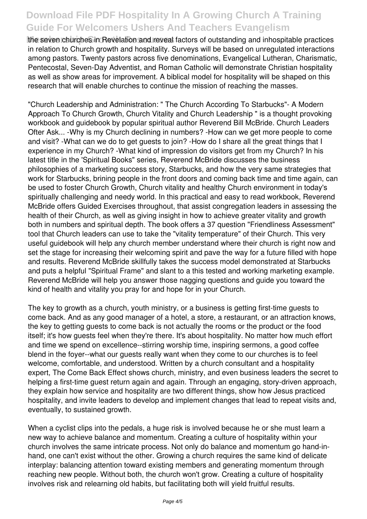the seven churches in Revelation and reveal factors of outstanding and inhospitable practices in relation to Church growth and hospitality. Surveys will be based on unregulated interactions among pastors. Twenty pastors across five denominations, Evangelical Lutheran, Charismatic, Pentecostal, Seven-Day Adventist, and Roman Catholic will demonstrate Christian hospitality as well as show areas for improvement. A biblical model for hospitality will be shaped on this research that will enable churches to continue the mission of reaching the masses.

"Church Leadership and Administration: " The Church According To Starbucks"- A Modern Approach To Church Growth, Church Vitality and Church Leadership " is a thought provoking workbook and guidebook by popular spiritual author Reverend Bill McBride. Church Leaders Ofter Ask... -Why is my Church declining in numbers? -How can we get more people to come and visit? -What can we do to get guests to join? -How do I share all the great things that I experience in my Church? -What kind of impression do visitors get from my Church? In his latest title in the 'Spiritual Books" series, Reverend McBride discusses the business philosophies of a marketing success story, Starbucks, and how the very same strategies that work for Starbucks, brining people in the front doors and coming back time and time again, can be used to foster Church Growth, Church vitality and healthy Church environment in today's spiritually challenging and needy world. In this practical and easy to read workbook, Reverend McBride offers Guided Exercises throughout, that assist congregation leaders in assessing the health of their Church, as well as giving insight in how to achieve greater vitality and growth both in numbers and spiritual depth. The book offers a 37 question "Friendliness Assessment" tool that Church leaders can use to take the "vitality temperature" of their Church. This very useful guidebook will help any church member understand where their church is right now and set the stage for increasing their welcoming spirit and pave the way for a future filled with hope and results. Reverend McBride skillfully takes the success model demonstrated at Starbucks and puts a helpful "Spiritual Frame" and slant to a this tested and working marketing example. Reverend McBride will help you answer those nagging questions and guide you toward the kind of health and vitality you pray for and hope for in your Church.

The key to growth as a church, youth ministry, or a business is getting first-time guests to come back. And as any good manager of a hotel, a store, a restaurant, or an attraction knows, the key to getting guests to come back is not actually the rooms or the product or the food itself; it's how guests feel when they're there. It's about hospitality. No matter how much effort and time we spend on excellence--stirring worship time, inspiring sermons, a good coffee blend in the foyer--what our guests really want when they come to our churches is to feel welcome, comfortable, and understood. Written by a church consultant and a hospitality expert, The Come Back Effect shows church, ministry, and even business leaders the secret to helping a first-time guest return again and again. Through an engaging, story-driven approach, they explain how service and hospitality are two different things, show how Jesus practiced hospitality, and invite leaders to develop and implement changes that lead to repeat visits and, eventually, to sustained growth.

When a cyclist clips into the pedals, a huge risk is involved because he or she must learn a new way to achieve balance and momentum. Creating a culture of hospitality within your church involves the same intricate process. Not only do balance and momentum go hand-inhand, one can't exist without the other. Growing a church requires the same kind of delicate interplay: balancing attention toward existing members and generating momentum through reaching new people. Without both, the church won't grow. Creating a culture of hospitality involves risk and relearning old habits, but facilitating both will yield fruitful results.